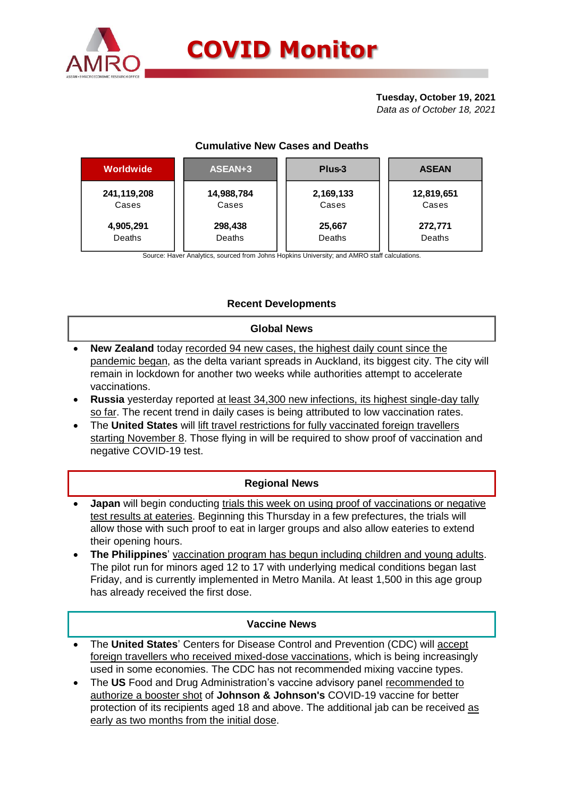

# **Tuesday, October 19, 2021**

*Data as of October 18, 2021*

## **Cumulative New Cases and Deaths**

| Worldwide   | ASEAN+3    | Plus-3    | <b>ASEAN</b> |  |  |
|-------------|------------|-----------|--------------|--|--|
| 241,119,208 | 14,988,784 | 2,169,133 | 12,819,651   |  |  |
| Cases       | Cases      | Cases     | Cases        |  |  |
| 4,905,291   | 298,438    | 25,667    | 272,771      |  |  |
| Deaths      | Deaths     | Deaths    | Deaths       |  |  |

Source: Haver Analytics, sourced from Johns Hopkins University; and AMRO staff calculations.

## **Recent Developments**

#### **Global News**

- **New Zealand** today recorded 94 new cases, the highest daily count since the pandemic began, as the delta variant spreads in Auckland, its biggest city. The city will remain in lockdown for another two weeks while authorities attempt to accelerate vaccinations.
- **Russia** yesterday reported at least 34,300 new infections, its highest single-day tally so far. The recent trend in daily cases is being attributed to low vaccination rates.
- The **United States** will lift travel restrictions for fully vaccinated foreign travellers starting November 8. Those flying in will be required to show proof of vaccination and negative COVID-19 test.

### **Regional News**

- **Japan** will begin conducting trials this week on using proof of vaccinations or negative test results at eateries. Beginning this Thursday in a few prefectures, the trials will allow those with such proof to eat in larger groups and also allow eateries to extend their opening hours.
- **The Philippines**' vaccination program has begun including children and young adults. The pilot run for minors aged 12 to 17 with underlying medical conditions began last Friday, and is currently implemented in Metro Manila. At least 1,500 in this age group has already received the first dose.

### **Vaccine News**

- The **United States**' Centers for Disease Control and Prevention (CDC) will accept foreign travellers who received mixed-dose vaccinations, which is being increasingly used in some economies. The CDC has not recommended mixing vaccine types.
- The **US** Food and Drug Administration's vaccine advisory panel recommended to authorize a booster shot of **Johnson & Johnson's** COVID-19 vaccine for better protection of its recipients aged 18 and above. The additional jab can be received as early as two months from the initial dose.